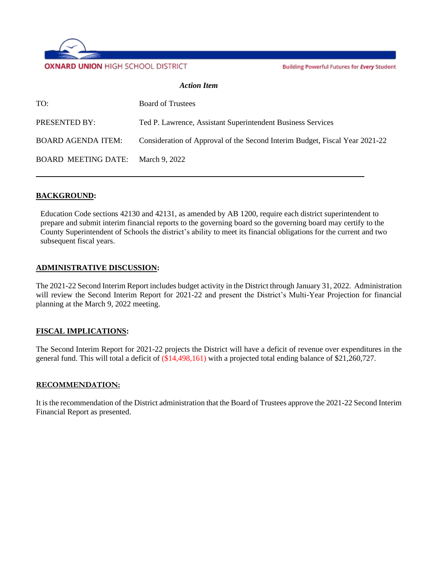

Building Powerful Futures for Every Student

#### *Action Item*

| TO:                               | <b>Board of Trustees</b>                                                    |
|-----------------------------------|-----------------------------------------------------------------------------|
| PRESENTED BY:                     | Ted P. Lawrence, Assistant Superintendent Business Services                 |
| <b>BOARD AGENDA ITEM:</b>         | Consideration of Approval of the Second Interim Budget, Fiscal Year 2021-22 |
| BOARD MEETING DATE: March 9, 2022 |                                                                             |

#### **BACKGROUND:**

Education Code sections 42130 and 42131, as amended by AB 1200, require each district superintendent to prepare and submit interim financial reports to the governing board so the governing board may certify to the County Superintendent of Schools the district's ability to meet its financial obligations for the current and two subsequent fiscal years.

#### **ADMINISTRATIVE DISCUSSION:**

The 2021-22 Second Interim Report includes budget activity in the District through January 31, 2022. Administration will review the Second Interim Report for 2021-22 and present the District's Multi-Year Projection for financial planning at the March 9, 2022 meeting.

#### **FISCAL IMPLICATIONS:**

The Second Interim Report for 2021-22 projects the District will have a deficit of revenue over expenditures in the general fund. This will total a deficit of (\$14,498,161) with a projected total ending balance of \$21,260,727.

#### **RECOMMENDATION:**

It is the recommendation of the District administration that the Board of Trustees approve the 2021-22 Second Interim Financial Report as presented.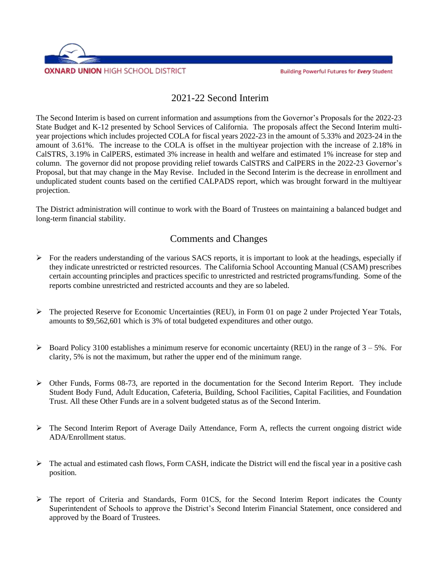

### 2021-22 Second Interim

The Second Interim is based on current information and assumptions from the Governor's Proposals for the 2022-23 State Budget and K-12 presented by School Services of California. The proposals affect the Second Interim multiyear projections which includes projected COLA for fiscal years 2022-23 in the amount of 5.33% and 2023-24 in the amount of 3.61%. The increase to the COLA is offset in the multiyear projection with the increase of 2.18% in CalSTRS, 3.19% in CalPERS, estimated 3% increase in health and welfare and estimated 1% increase for step and column. The governor did not propose providing relief towards CalSTRS and CalPERS in the 2022-23 Governor's Proposal, but that may change in the May Revise. Included in the Second Interim is the decrease in enrollment and unduplicated student counts based on the certified CALPADS report, which was brought forward in the multiyear projection.

The District administration will continue to work with the Board of Trustees on maintaining a balanced budget and long-term financial stability.

## Comments and Changes

- $\triangleright$  For the readers understanding of the various SACS reports, it is important to look at the headings, especially if they indicate unrestricted or restricted resources. The California School Accounting Manual (CSAM) prescribes certain accounting principles and practices specific to unrestricted and restricted programs/funding. Some of the reports combine unrestricted and restricted accounts and they are so labeled.
- $\triangleright$  The projected Reserve for Economic Uncertainties (REU), in Form 01 on page 2 under Projected Year Totals, amounts to \$9,562,601 which is 3% of total budgeted expenditures and other outgo.
- $\triangleright$  Board Policy 3100 establishes a minimum reserve for economic uncertainty (REU) in the range of 3 5%. For clarity, 5% is not the maximum, but rather the upper end of the minimum range.
- ➢ Other Funds, Forms 08-73, are reported in the documentation for the Second Interim Report. They include Student Body Fund, Adult Education, Cafeteria, Building, School Facilities, Capital Facilities, and Foundation Trust. All these Other Funds are in a solvent budgeted status as of the Second Interim.
- ➢ The Second Interim Report of Average Daily Attendance, Form A, reflects the current ongoing district wide ADA/Enrollment status.
- ➢ The actual and estimated cash flows, Form CASH, indicate the District will end the fiscal year in a positive cash position.
- ➢ The report of Criteria and Standards, Form 01CS, for the Second Interim Report indicates the County Superintendent of Schools to approve the District's Second Interim Financial Statement, once considered and approved by the Board of Trustees.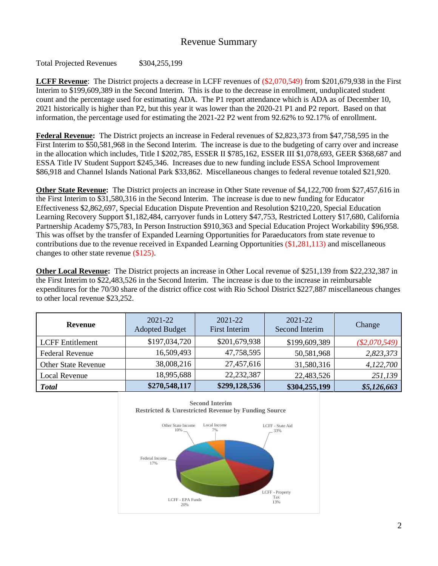### Revenue Summary

Total Projected Revenues \$304,255,199

**LCFF Revenue**: The District projects a decrease in LCFF revenues of (\$2,070,549) from \$201,679,938 in the First Interim to \$199,609,389 in the Second Interim. This is due to the decrease in enrollment, unduplicated student count and the percentage used for estimating ADA. The P1 report attendance which is ADA as of December 10, 2021 historically is higher than P2, but this year it was lower than the 2020-21 P1 and P2 report. Based on that information, the percentage used for estimating the 2021-22 P2 went from 92.62% to 92.17% of enrollment.

**Federal Revenue:** The District projects an increase in Federal revenues of \$2,823,373 from \$47,758,595 in the First Interim to \$50,581,968 in the Second Interim. The increase is due to the budgeting of carry over and increase in the allocation which includes, Title I \$202,785, ESSER II \$785,162, ESSER III \$1,078,693, GEER \$368,687 and ESSA Title IV Student Support \$245,346. Increases due to new funding include ESSA School Improvement \$86,918 and Channel Islands National Park \$33,862. Miscellaneous changes to federal revenue totaled \$21,920.

**Other State Revenue:** The District projects an increase in Other State revenue of \$4,122,700 from \$27,457,616 in the First Interim to \$31,580,316 in the Second Interim. The increase is due to new funding for Educator Effectiveness \$2,862,697, Special Education Dispute Prevention and Resolution \$210,220, Special Education Learning Recovery Support \$1,182,484, carryover funds in Lottery \$47,753, Restricted Lottery \$17,680, California Partnership Academy \$75,783, In Person Instruction \$910,363 and Special Education Project Workability \$96,958. This was offset by the transfer of Expanded Learning Opportunities for Paraeducators from state revenue to contributions due to the revenue received in Expanded Learning Opportunities (\$1,281,113) and miscellaneous changes to other state revenue (\$125).

**Other Local Revenue:** The District projects an increase in Other Local revenue of \$251,139 from \$22,232,387 in the First Interim to \$22,483,526 in the Second Interim. The increase is due to the increase in reimbursable expenditures for the 70/30 share of the district office cost with Rio School District \$227,887 miscellaneous changes to other local revenue \$23,252.

| <b>Revenue</b>             | 2021-22<br><b>Adopted Budget</b> | $2021 - 22$<br>First Interim | $2021 - 22$<br>Second Interim | Change          |
|----------------------------|----------------------------------|------------------------------|-------------------------------|-----------------|
| <b>LCFF</b> Entitlement    | \$197,034,720                    | \$201,679,938                | \$199,609,389                 | $(\$2,070,549)$ |
| <b>Federal Revenue</b>     | 16,509,493                       | 47,758,595                   | 50,581,968                    | 2,823,373       |
| <b>Other State Revenue</b> | 38,008,216                       | 27,457,616                   | 31,580,316                    | 4,122,700       |
| Local Revenue              | 18,995,688                       | 22, 232, 387                 | 22,483,526                    | 251,139         |
| <b>Total</b>               | \$270,548,117                    | \$299,128,536                | \$304,255,199                 | \$5,126,663     |



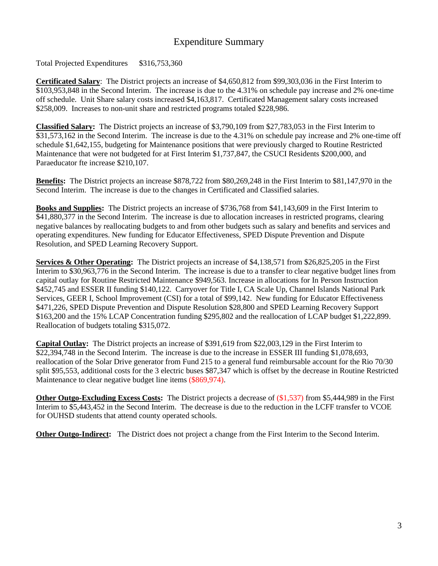## Expenditure Summary

Total Projected Expenditures \$316,753,360

**Certificated Salary**: The District projects an increase of \$4,650,812 from \$99,303,036 in the First Interim to \$103,953,848 in the Second Interim. The increase is due to the 4.31% on schedule pay increase and 2% one-time off schedule. Unit Share salary costs increased \$4,163,817. Certificated Management salary costs increased \$258,009. Increases to non-unit share and restricted programs totaled \$228,986.

**Classified Salary:** The District projects an increase of \$3,790,109 from \$27,783,053 in the First Interim to \$31,573,162 in the Second Interim. The increase is due to the 4.31% on schedule pay increase and 2% one-time off schedule \$1,642,155, budgeting for Maintenance positions that were previously charged to Routine Restricted Maintenance that were not budgeted for at First Interim \$1,737,847, the CSUCI Residents \$200,000, and Paraeducator fte increase \$210,107.

**Benefits:** The District projects an increase \$878,722 from \$80,269,248 in the First Interim to \$81,147,970 in the Second Interim. The increase is due to the changes in Certificated and Classified salaries.

**Books and Supplies:** The District projects an increase of \$736,768 from \$41,143,609 in the First Interim to \$41,880,377 in the Second Interim. The increase is due to allocation increases in restricted programs, clearing negative balances by reallocating budgets to and from other budgets such as salary and benefits and services and operating expenditures. New funding for Educator Effectiveness, SPED Dispute Prevention and Dispute Resolution, and SPED Learning Recovery Support.

**Services & Other Operating:** The District projects an increase of \$4,138,571 from \$26,825,205 in the First Interim to \$30,963,776 in the Second Interim. The increase is due to a transfer to clear negative budget lines from capital outlay for Routine Restricted Maintenance \$949,563. Increase in allocations for In Person Instruction \$452,745 and ESSER II funding \$140,122. Carryover for Title I, CA Scale Up, Channel Islands National Park Services, GEER I, School Improvement (CSI) for a total of \$99,142. New funding for Educator Effectiveness \$471,226, SPED Dispute Prevention and Dispute Resolution \$28,800 and SPED Learning Recovery Support \$163,200 and the 15% LCAP Concentration funding \$295,802 and the reallocation of LCAP budget \$1,222,899. Reallocation of budgets totaling \$315,072.

**Capital Outlay:** The District projects an increase of \$391,619 from \$22,003,129 in the First Interim to \$22,394,748 in the Second Interim. The increase is due to the increase in ESSER III funding \$1,078,693, reallocation of the Solar Drive generator from Fund 215 to a general fund reimbursable account for the Rio 70/30 split \$95,553, additional costs for the 3 electric buses \$87,347 which is offset by the decrease in Routine Restricted Maintenance to clear negative budget line items (\$869,974).

**Other Outgo-Excluding Excess Costs:** The District projects a decrease of (\$1,537) from \$5,444,989 in the First Interim to \$5,443,452 in the Second Interim. The decrease is due to the reduction in the LCFF transfer to VCOE for OUHSD students that attend county operated schools.

**Other Outgo-Indirect:** The District does not project a change from the First Interim to the Second Interim.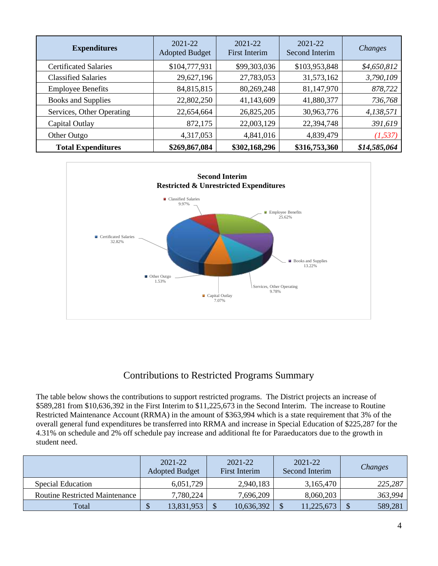| <b>Expenditures</b>          | 2021-22<br><b>Adopted Budget</b> | 2021-22<br><b>First Interim</b> | 2021-22<br>Second Interim | Changes      |
|------------------------------|----------------------------------|---------------------------------|---------------------------|--------------|
| <b>Certificated Salaries</b> | \$104,777,931                    | \$99,303,036                    | \$103,953,848             | \$4,650,812  |
| <b>Classified Salaries</b>   | 29,627,196                       | 27,783,053                      | 31,573,162                | 3,790,109    |
| <b>Employee Benefits</b>     | 84,815,815                       | 80,269,248                      | 81,147,970                | 878,722      |
| <b>Books and Supplies</b>    | 22,802,250                       | 41,143,609                      | 41,880,377                | 736,768      |
| Services, Other Operating    | 22,654,664                       | 26,825,205                      | 30,963,776                | 4,138,571    |
| Capital Outlay               | 872,175                          | 22,003,129                      | 22,394,748                | 391,619      |
| Other Outgo                  | 4,317,053                        | 4,841,016                       | 4,839,479                 | (1, 537)     |
| <b>Total Expenditures</b>    | \$269,867,084                    | \$302,168,296                   | \$316,753,360             | \$14,585,064 |



## Contributions to Restricted Programs Summary

The table below shows the contributions to support restricted programs. The District projects an increase of \$589,281 from \$10,636,392 in the First Interim to \$11,225,673 in the Second Interim. The increase to Routine Restricted Maintenance Account (RRMA) in the amount of \$363,994 which is a state requirement that 3% of the overall general fund expenditures be transferred into RRMA and increase in Special Education of \$225,287 for the 4.31% on schedule and 2% off schedule pay increase and additional fte for Paraeducators due to the growth in student need.

|                                       | 2021-22<br><b>Adopted Budget</b> | 2021-22<br>First Interim | 2021-22<br>Second Interim | Changes |
|---------------------------------------|----------------------------------|--------------------------|---------------------------|---------|
| Special Education                     | 6,051,729                        | 2,940,183                | 3,165,470                 | 225,287 |
| <b>Routine Restricted Maintenance</b> | 7,780,224                        | 7,696,209                | 8,060,203                 | 363,994 |
| Total                                 | \$<br>13,831,953                 | 10,636,392               | 11,225,673                | 589,281 |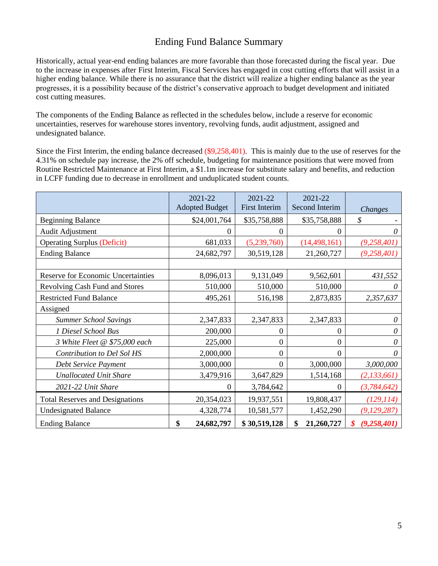## Ending Fund Balance Summary

Historically, actual year-end ending balances are more favorable than those forecasted during the fiscal year. Due to the increase in expenses after First Interim, Fiscal Services has engaged in cost cutting efforts that will assist in a higher ending balance. While there is no assurance that the district will realize a higher ending balance as the year progresses, it is a possibility because of the district's conservative approach to budget development and initiated cost cutting measures.

The components of the Ending Balance as reflected in the schedules below, include a reserve for economic uncertainties, reserves for warehouse stores inventory, revolving funds, audit adjustment, assigned and undesignated balance.

Since the First Interim, the ending balance decreased (\$9,258,401). This is mainly due to the use of reserves for the 4.31% on schedule pay increase, the 2% off schedule, budgeting for maintenance positions that were moved from Routine Restricted Maintenance at First Interim, a \$1.1m increase for substitute salary and benefits, and reduction in LCFF funding due to decrease in enrollment and unduplicated student counts.

|                                           | 2021-22<br><b>Adopted Budget</b> | 2021-22<br><b>First Interim</b> | 2021-22<br>Second Interim | Changes       |
|-------------------------------------------|----------------------------------|---------------------------------|---------------------------|---------------|
| <b>Beginning Balance</b>                  | \$24,001,764                     | \$35,758,888                    | \$35,758,888              | \$            |
| Audit Adjustment                          | 0                                | 0                               | 0                         | 0             |
| <b>Operating Surplus (Deficit)</b>        | 681,033                          | (5,239,760)                     | (14, 498, 161)            | (9, 258, 401) |
| <b>Ending Balance</b>                     | 24,682,797                       | 30,519,128                      | 21,260,727                | (9, 258, 401) |
|                                           |                                  |                                 |                           |               |
| <b>Reserve for Economic Uncertainties</b> | 8,096,013                        | 9,131,049                       | 9,562,601                 | 431,552       |
| Revolving Cash Fund and Stores            | 510,000                          | 510,000                         | 510,000                   | 0             |
| <b>Restricted Fund Balance</b>            | 495,261                          | 516,198                         | 2,873,835                 | 2,357,637     |
| Assigned                                  |                                  |                                 |                           |               |
| <b>Summer School Savings</b>              | 2,347,833                        | 2,347,833                       | 2,347,833                 | 0             |
| 1 Diesel School Bus                       | 200,000                          | $\boldsymbol{0}$                | 0                         | 0             |
| 3 White Fleet @ \$75,000 each             | 225,000                          | 0                               | $\theta$                  | 0             |
| Contribution to Del Sol HS                | 2,000,000                        | $\boldsymbol{0}$                | 0                         | 0             |
| Debt Service Payment                      | 3,000,000                        | $\Omega$                        | 3,000,000                 | 3,000,000     |
| <b>Unallocated Unit Share</b>             | 3,479,916                        | 3,647,829                       | 1,514,168                 | (2, 133, 661) |
| 2021-22 Unit Share                        | 0                                | 3,784,642                       | 0                         | (3,784,642)   |
| <b>Total Reserves and Designations</b>    | 20,354,023                       | 19,937,551                      | 19,808,437                | (129, 114)    |
| <b>Undesignated Balance</b>               | 4,328,774                        | 10,581,577                      | 1,452,290                 | (9, 129, 287) |
| <b>Ending Balance</b>                     | \$<br>24,682,797                 | \$30,519,128                    | 21,260,727<br>\$          | (9, 258, 401) |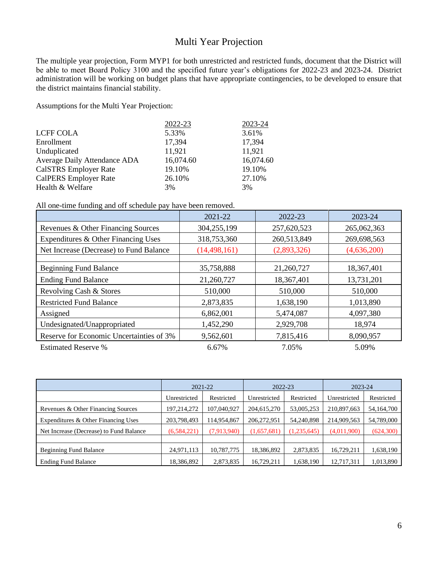## Multi Year Projection

The multiple year projection, Form MYP1 for both unrestricted and restricted funds, document that the District will be able to meet Board Policy 3100 and the specified future year's obligations for 2022-23 and 2023-24. District administration will be working on budget plans that have appropriate contingencies, to be developed to ensure that the district maintains financial stability.

Assumptions for the Multi Year Projection:

|                              | 2022-23   | 2023-24   |
|------------------------------|-----------|-----------|
| <b>LCFF COLA</b>             | 5.33%     | 3.61%     |
| Enrollment                   | 17,394    | 17,394    |
| Unduplicated                 | 11,921    | 11,921    |
| Average Daily Attendance ADA | 16,074.60 | 16,074.60 |
| <b>CalSTRS</b> Employer Rate | 19.10%    | 19.10%    |
| <b>CalPERS Employer Rate</b> | 26.10%    | 27.10%    |
| Health & Welfare             | 3%        | 3%        |

All one-time funding and off schedule pay have been removed.

|                                          | 2021-22        | 2022-23     | 2023-24     |
|------------------------------------------|----------------|-------------|-------------|
| Revenues & Other Financing Sources       | 304,255,199    | 257,620,523 | 265,062,363 |
| Expenditures & Other Financing Uses      | 318,753,360    | 260,513,849 | 269,698,563 |
| Net Increase (Decrease) to Fund Balance  | (14, 498, 161) | (2,893,326) | (4,636,200) |
|                                          |                |             |             |
| <b>Beginning Fund Balance</b>            | 35,758,888     | 21,260,727  | 18,367,401  |
| <b>Ending Fund Balance</b>               | 21,260,727     | 18,367,401  | 13,731,201  |
| Revolving Cash & Stores                  | 510,000        | 510,000     | 510,000     |
| <b>Restricted Fund Balance</b>           | 2,873,835      | 1,638,190   | 1,013,890   |
| Assigned                                 | 6,862,001      | 5,474,087   | 4,097,380   |
| Undesignated/Unappropriated              | 1,452,290      | 2,929,708   | 18,974      |
| Reserve for Economic Uncertainties of 3% | 9,562,601      | 7,815,416   | 8,090,957   |
| <b>Estimated Reserve %</b>               | 6.67%          | 7.05%       | 5.09%       |

|                                         |               | 2021-22     | 2022-23      |             | 2023-24      |            |
|-----------------------------------------|---------------|-------------|--------------|-------------|--------------|------------|
|                                         | Unrestricted  | Restricted  | Unrestricted | Restricted  | Unrestricted | Restricted |
| Revenues & Other Financing Sources      | 197,214,272   | 107,040,927 | 204,615,270  | 53,005,253  | 210,897,663  | 54,164,700 |
| Expenditures & Other Financing Uses     | 203,798,493   | 114,954,867 | 206,272,951  | 54,240,898  | 214,909,563  | 54,789,000 |
| Net Increase (Decrease) to Fund Balance | (6, 584, 221) | (7,913,940) | (1,657,681)  | (1,235,645) | (4,011,900)  | (624, 300) |
|                                         |               |             |              |             |              |            |
| <b>Beginning Fund Balance</b>           | 24,971,113    | 10,787,775  | 18,386,892   | 2,873,835   | 16,729,211   | 1,638,190  |
| <b>Ending Fund Balance</b>              | 18,386,892    | 2,873,835   | 16,729,211   | 1,638,190   | 12,717,311   | 1,013,890  |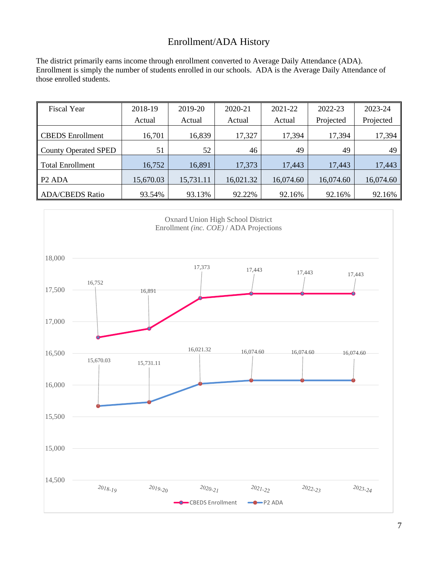# Enrollment/ADA History

The district primarily earns income through enrollment converted to Average Daily Attendance (ADA). Enrollment is simply the number of students enrolled in our schools. ADA is the Average Daily Attendance of those enrolled students.

| <b>Fiscal Year</b>             | 2018-19   | 2019-20   | 2020-21   | 2021-22   | 2022-23   | 2023-24   |
|--------------------------------|-----------|-----------|-----------|-----------|-----------|-----------|
|                                | Actual    | Actual    | Actual    | Actual    | Projected | Projected |
| <b>CBEDS</b> Enrollment        | 16,701    | 16,839    | 17,327    | 17,394    | 17,394    | 17,394    |
| <b>County Operated SPED</b>    | 51        | 52        | 46        | 49        | 49        | 49        |
| <b>Total Enrollment</b>        | 16,752    | 16,891    | 17,373    | 17,443    | 17,443    | 17,443    |
| P <sub>2</sub> AD <sub>A</sub> | 15,670.03 | 15,731.11 | 16,021.32 | 16,074.60 | 16,074.60 | 16,074.60 |
| <b>ADA/CBEDS Ratio</b>         | 93.54%    | 93.13%    | 92.22%    | 92.16%    | 92.16%    | 92.16%    |

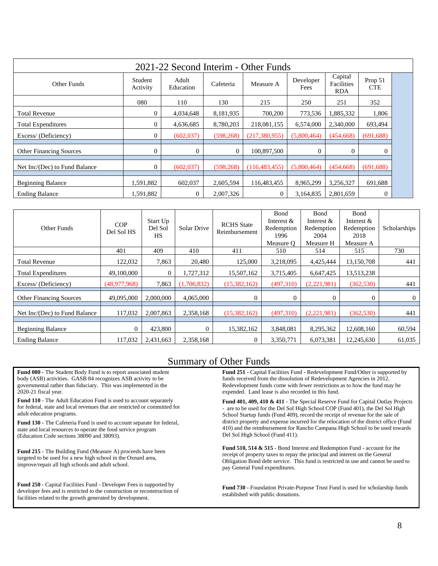| 2021-22 Second Interim - Other Funds |                     |                    |            |                 |                   |                                     |                       |  |
|--------------------------------------|---------------------|--------------------|------------|-----------------|-------------------|-------------------------------------|-----------------------|--|
| Other Funds                          | Student<br>Activity | Adult<br>Education | Cafeteria  | Measure A       | Developer<br>Fees | Capital<br>Facilities<br><b>RDA</b> | Prop 51<br><b>CTE</b> |  |
|                                      | 080                 | 110                | 130        | 215             | 250               | 251                                 | 352                   |  |
| <b>Total Revenue</b>                 | $\overline{0}$      | 4,034,648          | 8,181,935  | 700,200         | 773,536           | 1,885,332                           | 1,806                 |  |
| Total Expenditures                   | $\overline{0}$      | 4,636,685          | 8,780,203  | 218,081,155     | 6,574,000         | 2,340,000                           | 693,494               |  |
| Excess/(Deficiency)                  | $\overline{0}$      | (602, 037)         | (598, 268) | (217, 380, 955) | (5,800,464)       | (454, 668)                          | (691, 688)            |  |
| <b>Other Financing Sources</b>       | $\boldsymbol{0}$    | $\mathbf{0}$       | $\theta$   | 100.897.500     | $\Omega$          | $\Omega$                            | $\Omega$              |  |
| Net Inc/(Dec) to Fund Balance        | $\overline{0}$      | (602, 037)         | (598, 268) | (116, 483, 455) | (5,800,464)       | (454, 668)                          | (691, 688)            |  |
| <b>Beginning Balance</b>             | 1,591,882           | 602,037            | 2,605,594  | 116,483,455     | 8,965,299         | 3,256,327                           | 691,688               |  |
| <b>Ending Balance</b>                | 1,591,882           | $\Omega$           | 2,007,326  | $\overline{0}$  | 3,164,835         | 2,801,659                           | $\Omega$              |  |

| Other Funds                    | <b>COP</b><br>Del Sol HS | Start Up<br>Del Sol<br><b>HS</b> | Solar Drive    | <b>RCHS</b> State<br>Reimbursement | Bond<br>Interest $\&$<br>Redemption<br>1996<br>Measure O | Bond<br>Interest $&$<br>Redemption<br>2004<br>Measure H | Bond<br>Interest $&$<br>Redemption<br>2018<br>Measure A | Scholarships   |
|--------------------------------|--------------------------|----------------------------------|----------------|------------------------------------|----------------------------------------------------------|---------------------------------------------------------|---------------------------------------------------------|----------------|
|                                | 401                      | 409                              | 410            | 411                                | 510                                                      | 514                                                     | 515                                                     | 730            |
| <b>Total Revenue</b>           | 122,032                  | 7,863                            | 20,480         | 125,000                            | 3,218,095                                                | 4,425,444                                               | 13,150,708                                              | 441            |
| <b>Total Expenditures</b>      | 49,100,000               | $\theta$                         | 1,727,312      | 15,507,162                         | 3,715,405                                                | 6,647,425                                               | 13,513,238                                              |                |
| Excess/(Deficiency)            | (48,977,968)             | 7.863                            | (1,706,832)    | (15,382,162)                       | (497,310)                                                | (2,221,981)                                             | (362, 530)                                              | 441            |
| <b>Other Financing Sources</b> | 49,095,000               | 2,000,000                        | 4,065,000      | $\overline{0}$                     | $\Omega$                                                 | $\Omega$                                                | $\Omega$                                                | $\overline{0}$ |
| Net Inc/(Dec) to Fund Balance  | 117.032                  | 2,007,863                        | 2,358,168      | (15,382,162)                       | (497,310)                                                | (2,221,981)                                             | (362, 530)                                              | 441            |
| <b>Beginning Balance</b>       | $\mathbf{0}$             | 423,800                          | $\overline{0}$ | 15,382,162                         | 3,848,081                                                | 8,295,362                                               | 12,608,160                                              | 60,594         |
| <b>Ending Balance</b>          | 117,032                  | 2,431,663                        | 2,358,168      | $\overline{0}$                     | 3,350,771                                                | 6,073,381                                               | 12,245,630                                              | 61,035         |

#### Summary of Other Funds

**Fund 080 -** The Student Body Fund is to report associated student body (ASB) activities. GASB 84 recognizes ASB activity to be governmental rather than fiduciary. This was implemented in the 2020-21 fiscal year.

**Fund 110** - The Adult Education Fund is used to account separately for federal, state and local revenues that are restricted or committed for adult education programs.

**Fund 130 -** The Cafeteria Fund is used to account separate for federal, state and local resources to operate the food service program (Education Code sections 38090 and 38093).

**Fund 215** - The Building Fund (Measure A) proceeds have been targeted to be used for a new high school in the Oxnard area, improve/repair all high schools and adult school.

**Fund 250** - Capital Facilities Fund - Developer Fees is supported by developer fees and is restricted to the construction or reconstruction of facilities related to the growth generated by development.

**Fund 251** - Capital Facilities Fund - Redevelopment Fund/Other is supported by funds received from the dissolution of Redevelopment Agencies in 2012. Redevelopment funds come with fewer restrictions as to how the fund may be expended. Land lease is also recorded in this fund.

**Fund 401, 409, 410 & 411** - The Special Reserve Fund for Capital Outlay Projects - are to be used for the Del Sol High School COP (Fund 401), the Del Sol High School Startup funds (Fund 409), record the receipt of revenue for the sale of district property and expense incurred for the relocation of the district office (Fund 410) and the reimbursement for Rancho Campana High School to be used towards Del Sol High School (Fund 411).

**Fund 510, 514 & 515** - Bond Interest and Redemption Fund - account for the receipt of property taxes to repay the principal and interest on the General Obligation Bond debt service. This fund is restricted in use and cannot be used to pay General Fund expenditures.

**Fund 730** - Foundation Private-Purpose Trust Fund is used for scholarship funds established with public donations.